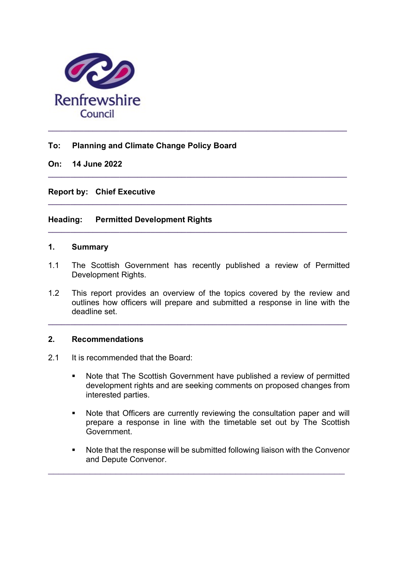

# To: Planning and Climate Change Policy Board

# On: 14 June 2022

Report by: Chief Executive

# Heading: Permitted Development Rights

### 1. Summary

1.1 The Scottish Government has recently published a review of Permitted Development Rights.

 $\_$  ,  $\_$  ,  $\_$  ,  $\_$  ,  $\_$  ,  $\_$  ,  $\_$  ,  $\_$  ,  $\_$  ,  $\_$  ,  $\_$  ,  $\_$  ,  $\_$  ,  $\_$  ,  $\_$  ,  $\_$  ,  $\_$  ,  $\_$  ,  $\_$ 

 $\_$  , and the set of the set of the set of the set of the set of the set of the set of the set of the set of the set of the set of the set of the set of the set of the set of the set of the set of the set of the set of th

 $\_$  ,  $\_$  ,  $\_$  ,  $\_$  ,  $\_$  ,  $\_$  ,  $\_$  ,  $\_$  ,  $\_$  ,  $\_$  ,  $\_$  ,  $\_$  ,  $\_$  ,  $\_$  ,  $\_$  ,  $\_$  ,  $\_$  ,  $\_$  ,  $\_$ 

1.2 This report provides an overview of the topics covered by the review and outlines how officers will prepare and submitted a response in line with the deadline set.

 $\_$  ,  $\_$  ,  $\_$  ,  $\_$  ,  $\_$  ,  $\_$  ,  $\_$  ,  $\_$  ,  $\_$  ,  $\_$  ,  $\_$  ,  $\_$  ,  $\_$  ,  $\_$  ,  $\_$  ,  $\_$  ,  $\_$  ,  $\_$  ,  $\_$ 

#### 2. Recommendations

- 2.1 It is recommended that the Board:
	- Note that The Scottish Government have published a review of permitted development rights and are seeking comments on proposed changes from interested parties.
	- Note that Officers are currently reviewing the consultation paper and will prepare a response in line with the timetable set out by The Scottish Government.
	- Note that the response will be submitted following liaison with the Convenor and Depute Convenor.

 $\_$  , and the set of the set of the set of the set of the set of the set of the set of the set of the set of the set of the set of the set of the set of the set of the set of the set of the set of the set of the set of th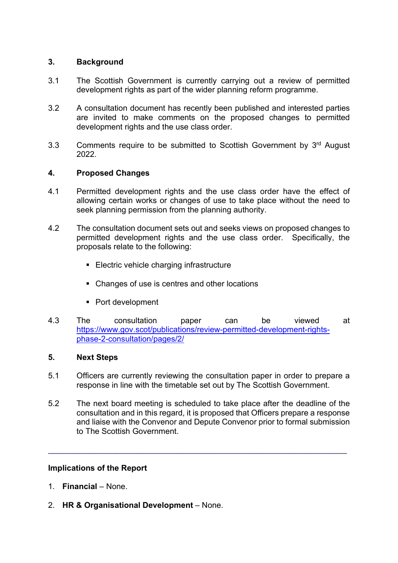# 3. Background

- 3.1 The Scottish Government is currently carrying out a review of permitted development rights as part of the wider planning reform programme.
- 3.2 A consultation document has recently been published and interested parties are invited to make comments on the proposed changes to permitted development rights and the use class order.
- 3.3 Comments require to be submitted to Scottish Government by 3<sup>rd</sup> August 2022.

# 4. Proposed Changes

- 4.1 Permitted development rights and the use class order have the effect of allowing certain works or changes of use to take place without the need to seek planning permission from the planning authority.
- 4.2 The consultation document sets out and seeks views on proposed changes to permitted development rights and the use class order. Specifically, the proposals relate to the following:
	- **Electric vehicle charging infrastructure**
	- Changes of use is centres and other locations
	- Port development
- 4.3 The consultation paper can be viewed at https://www.gov.scot/publications/review-permitted-development-rightsphase-2-consultation/pages/2/

# 5. Next Steps

- 5.1 Officers are currently reviewing the consultation paper in order to prepare a response in line with the timetable set out by The Scottish Government.
- 5.2 The next board meeting is scheduled to take place after the deadline of the consultation and in this regard, it is proposed that Officers prepare a response and liaise with the Convenor and Depute Convenor prior to formal submission to The Scottish Government.

 $\_$  ,  $\_$  ,  $\_$  ,  $\_$  ,  $\_$  ,  $\_$  ,  $\_$  ,  $\_$  ,  $\_$  ,  $\_$  ,  $\_$  ,  $\_$  ,  $\_$  ,  $\_$  ,  $\_$  ,  $\_$  ,  $\_$  ,  $\_$  ,  $\_$ 

# Implications of the Report

- 1. Financial None.
- 2. HR & Organisational Development None.